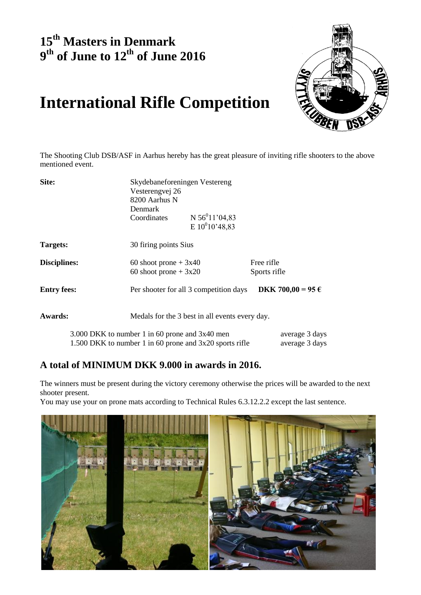## **15 th Masters in Denmark 9 th of June to 12 th of June 2016**



# **International Rifle Competition**

The Shooting Club DSB/ASF in Aarhus hereby has the great pleasure of inviting rifle shooters to the above mentioned event.

| Site:               | Skydebaneforeningen Vestereng                             |                                                |                   |  |  |
|---------------------|-----------------------------------------------------------|------------------------------------------------|-------------------|--|--|
|                     |                                                           | Vesterengvej 26<br>8200 Aarhus N               |                   |  |  |
|                     |                                                           |                                                |                   |  |  |
|                     | Denmark                                                   |                                                |                   |  |  |
|                     | Coordinates                                               | N $56^{0}11'04,83$                             |                   |  |  |
|                     |                                                           | E $10^{0}10'48,83$                             |                   |  |  |
| Targets:            | 30 firing points Sius                                     |                                                |                   |  |  |
| <b>Disciplines:</b> | 60 shoot prone $+3x40$                                    |                                                | Free rifle        |  |  |
|                     | 60 shoot prone $+3x20$                                    |                                                | Sports rifle      |  |  |
| <b>Entry fees:</b>  |                                                           | Per shooter for all 3 competition days         | DKK 700,00 = 95 € |  |  |
| <b>Awards:</b>      |                                                           | Medals for the 3 best in all events every day. |                   |  |  |
|                     | 3.000 DKK to number 1 in 60 prone and 3x40 men            |                                                | average 3 days    |  |  |
|                     | 1.500 DKK to number 1 in 60 prone and $3x20$ sports rifle |                                                | average 3 days    |  |  |

### **A total of MINIMUM DKK 9.000 in awards in 2016.**

The winners must be present during the victory ceremony otherwise the prices will be awarded to the next shooter present.

You may use your on prone mats according to Technical Rules 6.3.12.2.2 except the last sentence.